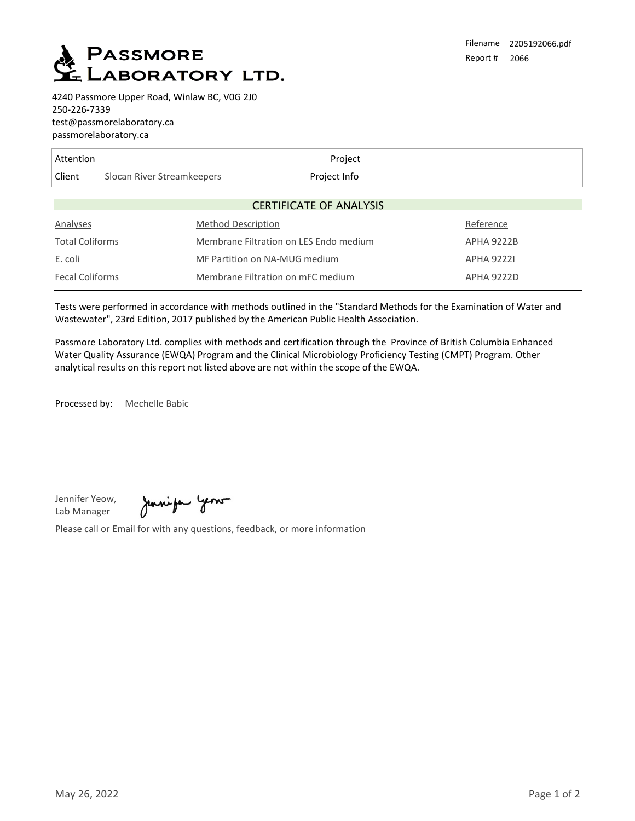

4240 Passmore Upper Road, Winlaw BC, V0G 2J0 250-226-7339 test@passmorelaboratory.ca passmorelaboratory.ca

| Attention                      |                            | Project                                |                   |  |  |  |  |  |  |  |
|--------------------------------|----------------------------|----------------------------------------|-------------------|--|--|--|--|--|--|--|
| Client                         | Slocan River Streamkeepers | Project Info                           |                   |  |  |  |  |  |  |  |
| <b>CERTIFICATE OF ANALYSIS</b> |                            |                                        |                   |  |  |  |  |  |  |  |
| Analyses                       | <b>Method Description</b>  |                                        | Reference         |  |  |  |  |  |  |  |
| <b>Total Coliforms</b>         |                            | Membrane Filtration on LES Endo medium |                   |  |  |  |  |  |  |  |
| E. coli                        |                            | MF Partition on NA-MUG medium          |                   |  |  |  |  |  |  |  |
| <b>Fecal Coliforms</b>         |                            | Membrane Filtration on mFC medium      | <b>APHA 9222D</b> |  |  |  |  |  |  |  |

Tests were performed in accordance with methods outlined in the "Standard Methods for the Examination of Water and Wastewater", 23rd Edition, 2017 published by the American Public Health Association.

Passmore Laboratory Ltd. complies with methods and certification through the Province of British Columbia Enhanced Water Quality Assurance (EWQA) Program and the Clinical Microbiology Proficiency Testing (CMPT) Program. Other analytical results on this report not listed above are not within the scope of the EWQA.

Processed by: Mechelle Babic

Jennifer Yeow, Lab Manager

Juniper year

Please call or Email for with any questions, feedback, or more information